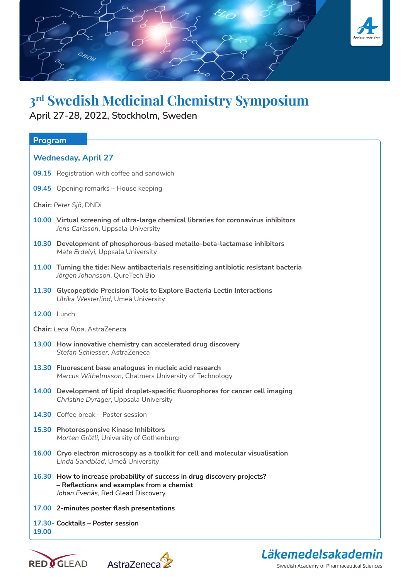

## **3rd Swedish Medicinal Chemistry Symposium**

**April 27-28, 2022, Stockholm, Sweden** 

| Program                                                                                                                                                    |  |  |
|------------------------------------------------------------------------------------------------------------------------------------------------------------|--|--|
| <b>Wednesday, April 27</b>                                                                                                                                 |  |  |
| 09.15 Registration with coffee and sandwich                                                                                                                |  |  |
| 09.45 Opening remarks - House keeping                                                                                                                      |  |  |
| Chair: Peter Sjö, DNDi                                                                                                                                     |  |  |
| 10.00 Virtual screening of ultra-large chemical libraries for coronavirus inhibitors<br>Jens Carlsson, Uppsala University                                  |  |  |
| 10.30 Development of phosphorous-based metallo-beta-lactamase inhibitors<br>Mate Erdelyi, Uppsala University                                               |  |  |
| 11.00 Turning the tide: New antibacterials resensitizing antibiotic resistant bacteria<br>Jörgen Johansson, QureTech Bio                                   |  |  |
| 11.30 Glycopeptide Precision Tools to Explore Bacteria Lectin Interactions<br>Ulrika Westerlind, Umeå University                                           |  |  |
| <b>12.00 Lunch</b>                                                                                                                                         |  |  |
| Chair: Lena Ripa, AstraZeneca                                                                                                                              |  |  |
| 13.00 How innovative chemistry can accelerated drug discovery<br>Stefan Schiesser, AstraZeneca                                                             |  |  |
| 13.30 Fluorescent base analogues in nucleic acid research<br>Marcus Wilhelmsson, Chalmers University of Technology                                         |  |  |
| 14.00 Development of lipid droplet-specific fluorophores for cancer cell imaging<br>Christine Dyrager, Uppsala University                                  |  |  |
| 14.30 Coffee break - Poster session                                                                                                                        |  |  |
| 15.30 Photoresponsive Kinase Inhibitors<br>Morten Grötli, University of Gothenburg                                                                         |  |  |
| 16.00 Cryo electron microscopy as a toolkit for cell and molecular visualisation<br>Linda Sandblad, Umeå University                                        |  |  |
| 16.30 How to increase probability of success in drug discovery projects?<br>- Reflections and examples from a chemist<br>Johan Evenäs, Red Glead Discovery |  |  |
| 17.00 2-minutes poster flash presentations                                                                                                                 |  |  |
| 17.30 - Cocktails - Poster session<br>19,00                                                                                                                |  |  |